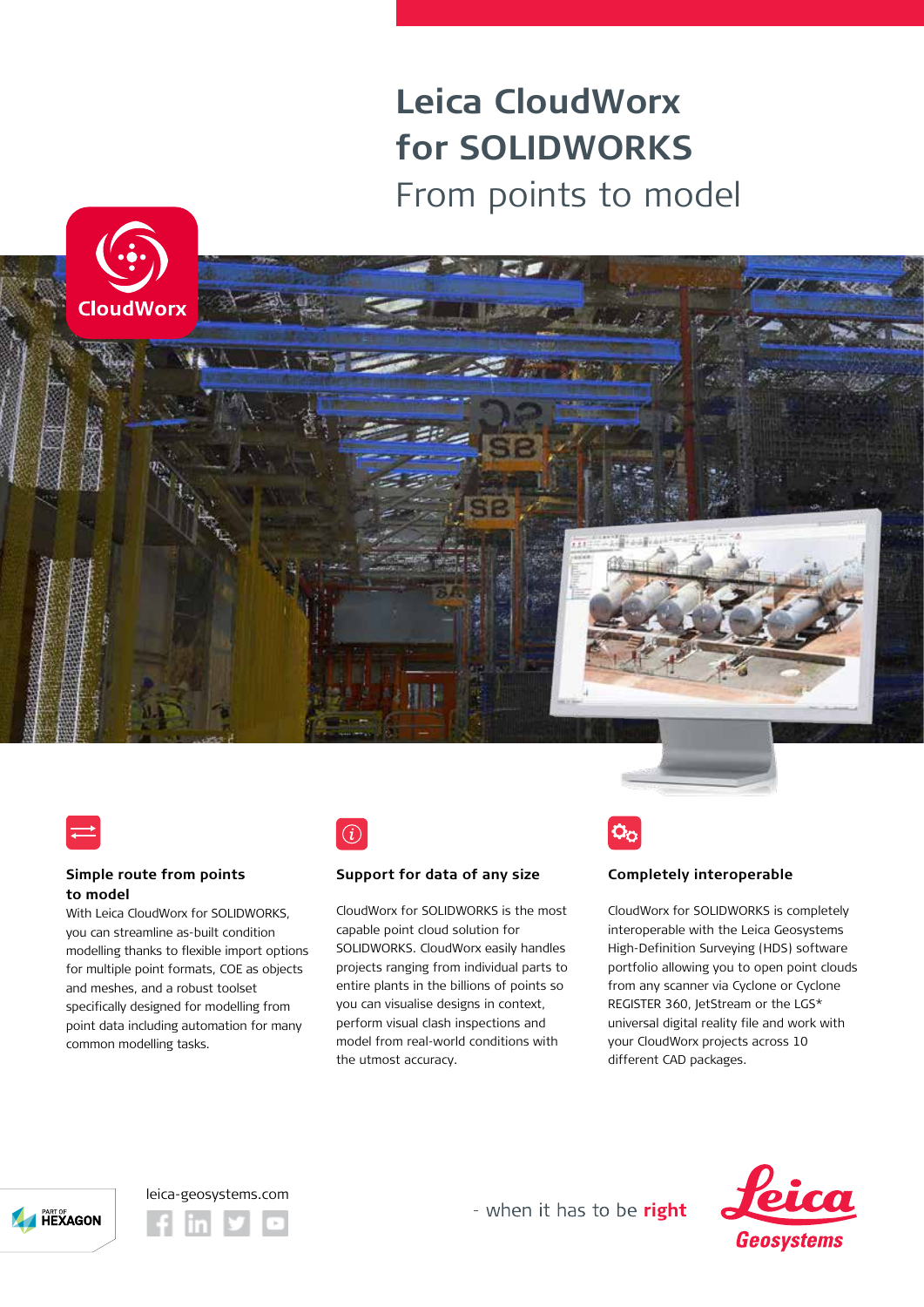## **Leica CloudWorx for SOLIDWORKS**  From points to model







#### **Simple route from points to model**

With Leica CloudWorx for SOLIDWORKS, you can streamline as-built condition modelling thanks to flexible import options for multiple point formats, COE as objects and meshes, and a robust toolset specifically designed for modelling from point data including automation for many common modelling tasks.



#### **Support for data of any size**

CloudWorx for SOLIDWORKS is the most capable point cloud solution for SOLIDWORKS. CloudWorx easily handles projects ranging from individual parts to entire plants in the billions of points so you can visualise designs in context, perform visual clash inspections and model from real-world conditions with the utmost accuracy.

### **Completely interoperable**

CloudWorx for SOLIDWORKS is completely interoperable with the Leica Geosystems High-Definition Surveying (HDS) software portfolio allowing you to open point clouds from any scanner via Cyclone or Cyclone REGISTER 360, JetStream or the LGS\* universal digital reality file and work with your CloudWorx projects across 10 different CAD packages.





leica-geosystems.com



- when it has to be right